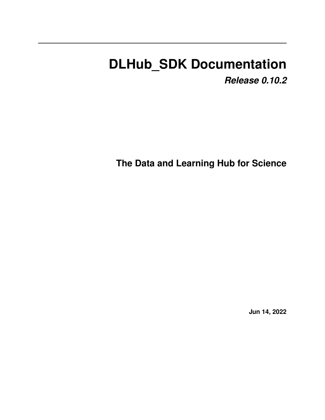# **DLHub\_SDK Documentation**

*Release 0.10.2*

**The Data and Learning Hub for Science**

**Jun 14, 2022**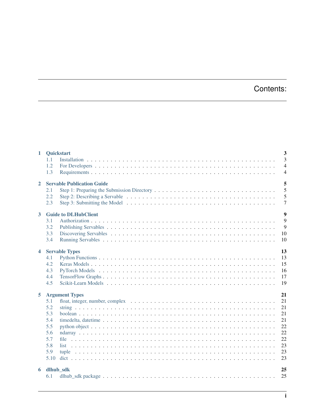# Contents:

| $\overline{3}$<br>1.1<br>$\overline{4}$<br>1.2<br>1.3<br>$\overline{4}$<br>5<br><b>Servable Publication Guide</b><br>$\overline{2}$<br>5<br>2.1<br>5<br>2.2<br>$\overline{7}$<br>2.3<br>$\overline{9}$<br><b>Guide to DLHubClient</b><br>$\mathbf{3}$<br>9<br>3.1<br>9<br>3.2<br>10<br>3.3<br>10<br>3.4<br>13<br>$\overline{\mathbf{4}}$<br><b>Servable Types</b><br>13<br>4.1<br>15<br>4.2<br>16<br>4.3<br>17<br>4.4<br>4.5<br>19<br>21<br>5<br><b>Argument Types</b><br>21<br>5.1<br>21<br>5.2<br>21<br>5.3<br>21<br>5.4<br>22<br>5.5<br>22<br>5.6<br>22<br>5.7<br>23<br>5.8<br>23<br>5.9<br>23<br>5.10<br>25<br>dlhub_sdk<br>6<br>25<br>6.1 | $\mathbf{1}$ | Quickstart | $\overline{\mathbf{3}}$ |
|------------------------------------------------------------------------------------------------------------------------------------------------------------------------------------------------------------------------------------------------------------------------------------------------------------------------------------------------------------------------------------------------------------------------------------------------------------------------------------------------------------------------------------------------------------------------------------------------------------------------------------------------|--------------|------------|-------------------------|
|                                                                                                                                                                                                                                                                                                                                                                                                                                                                                                                                                                                                                                                |              |            |                         |
|                                                                                                                                                                                                                                                                                                                                                                                                                                                                                                                                                                                                                                                |              |            |                         |
|                                                                                                                                                                                                                                                                                                                                                                                                                                                                                                                                                                                                                                                |              |            |                         |
|                                                                                                                                                                                                                                                                                                                                                                                                                                                                                                                                                                                                                                                |              |            |                         |
|                                                                                                                                                                                                                                                                                                                                                                                                                                                                                                                                                                                                                                                |              |            |                         |
|                                                                                                                                                                                                                                                                                                                                                                                                                                                                                                                                                                                                                                                |              |            |                         |
|                                                                                                                                                                                                                                                                                                                                                                                                                                                                                                                                                                                                                                                |              |            |                         |
|                                                                                                                                                                                                                                                                                                                                                                                                                                                                                                                                                                                                                                                |              |            |                         |
|                                                                                                                                                                                                                                                                                                                                                                                                                                                                                                                                                                                                                                                |              |            |                         |
|                                                                                                                                                                                                                                                                                                                                                                                                                                                                                                                                                                                                                                                |              |            |                         |
|                                                                                                                                                                                                                                                                                                                                                                                                                                                                                                                                                                                                                                                |              |            |                         |
|                                                                                                                                                                                                                                                                                                                                                                                                                                                                                                                                                                                                                                                |              |            |                         |
|                                                                                                                                                                                                                                                                                                                                                                                                                                                                                                                                                                                                                                                |              |            |                         |
|                                                                                                                                                                                                                                                                                                                                                                                                                                                                                                                                                                                                                                                |              |            |                         |
|                                                                                                                                                                                                                                                                                                                                                                                                                                                                                                                                                                                                                                                |              |            |                         |
|                                                                                                                                                                                                                                                                                                                                                                                                                                                                                                                                                                                                                                                |              |            |                         |
|                                                                                                                                                                                                                                                                                                                                                                                                                                                                                                                                                                                                                                                |              |            |                         |
|                                                                                                                                                                                                                                                                                                                                                                                                                                                                                                                                                                                                                                                |              |            |                         |
|                                                                                                                                                                                                                                                                                                                                                                                                                                                                                                                                                                                                                                                |              |            |                         |
|                                                                                                                                                                                                                                                                                                                                                                                                                                                                                                                                                                                                                                                |              |            |                         |
|                                                                                                                                                                                                                                                                                                                                                                                                                                                                                                                                                                                                                                                |              |            |                         |
|                                                                                                                                                                                                                                                                                                                                                                                                                                                                                                                                                                                                                                                |              |            |                         |
|                                                                                                                                                                                                                                                                                                                                                                                                                                                                                                                                                                                                                                                |              |            |                         |
|                                                                                                                                                                                                                                                                                                                                                                                                                                                                                                                                                                                                                                                |              |            |                         |
|                                                                                                                                                                                                                                                                                                                                                                                                                                                                                                                                                                                                                                                |              |            |                         |
|                                                                                                                                                                                                                                                                                                                                                                                                                                                                                                                                                                                                                                                |              |            |                         |
|                                                                                                                                                                                                                                                                                                                                                                                                                                                                                                                                                                                                                                                |              |            |                         |
|                                                                                                                                                                                                                                                                                                                                                                                                                                                                                                                                                                                                                                                |              |            |                         |
|                                                                                                                                                                                                                                                                                                                                                                                                                                                                                                                                                                                                                                                |              |            |                         |
|                                                                                                                                                                                                                                                                                                                                                                                                                                                                                                                                                                                                                                                |              |            |                         |
|                                                                                                                                                                                                                                                                                                                                                                                                                                                                                                                                                                                                                                                |              |            |                         |
|                                                                                                                                                                                                                                                                                                                                                                                                                                                                                                                                                                                                                                                |              |            |                         |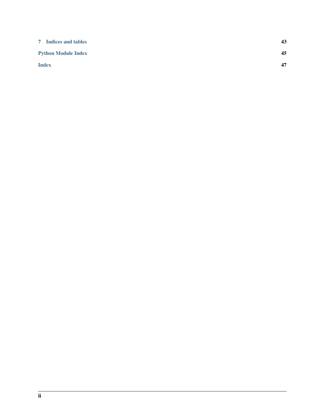| 7 Indices and tables       | 43 |
|----------------------------|----|
| <b>Python Module Index</b> | 45 |
| <b>Index</b>               | 47 |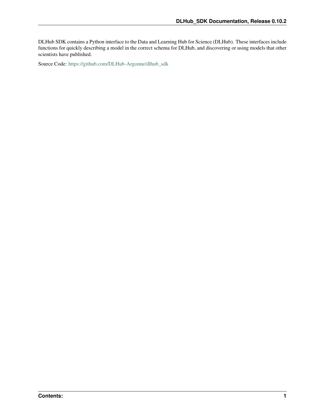DLHub SDK contains a Python interface to the Data and Learning Hub for Science (DLHub). These interfaces include functions for quickly describing a model in the correct schema for DLHub, and discovering or using models that other scientists have published.

Source Code: [https://github.com/DLHub-Argonne/dlhub\\_sdk](https://github.com/DLHub-Argonne/dlhub_sdk)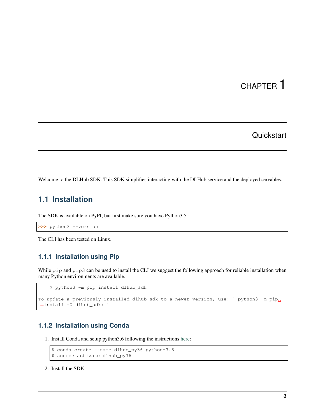# CHAPTER 1

### **Quickstart**

<span id="page-6-0"></span>Welcome to the DLHub SDK. This SDK simplifies interacting with the DLHub service and the deployed servables.

### <span id="page-6-1"></span>**1.1 Installation**

The SDK is available on PyPI, but first make sure you have Python3.5+

```
>>> python3 --version
```
The CLI has been tested on Linux.

### **1.1.1 Installation using Pip**

While pip and pip3 can be used to install the CLI we suggest the following approach for reliable installation when many Python environments are available.:

```
$ python3 -m pip install dlhub_sdk
To update a previously installed dlhub_sdk to a newer version, use: ``python3 -m pip_
˓→install -U dlhub_sdk)``
```
### **1.1.2 Installation using Conda**

1. Install Conda and setup python3.6 following the instructions [here:](https://conda.io/docs/user-guide/install)

```
$ conda create --name dlhub_py36 python=3.6
$ source activate dlhub_py36
```
2. Install the SDK: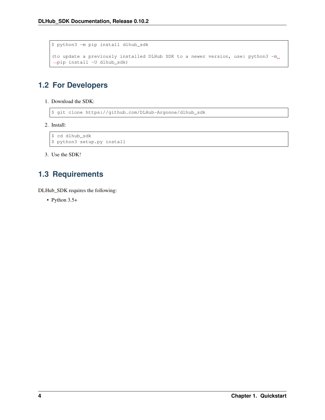```
$ python3 -m pip install dlhub_sdk
(to update a previously installed DLHub SDK to a newer version, use: python3 -m_{d}˓→pip install -U dlhub_sdk)
```
# <span id="page-7-0"></span>**1.2 For Developers**

1. Download the SDK:

```
$ git clone https://github.com/DLHub-Argonne/dlhub_sdk
```
2. Install:

```
$ cd dlhub_sdk
$ python3 setup.py install
```
3. Use the SDK!

# <span id="page-7-1"></span>**1.3 Requirements**

DLHub\_SDK requires the following:

• Python 3.5+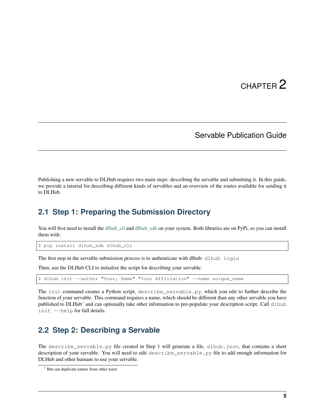# CHAPTER 2

### Servable Publication Guide

<span id="page-8-0"></span>Publishing a new servable to DLHub requires two main steps: describing the servable and submitting it. In this guide, we provide a tutorial for describing different kinds of servables and an overview of the routes available for sending it to DLHub.

### <span id="page-8-1"></span>**2.1 Step 1: Preparing the Submission Directory**

You will first need to install the dlhub cli and dlhub sdk on your system. Both libraries are on PyPi, so you can install them with:

\$ pip install dlhub\_sdk dlhub\_cli

The first step in the servable submission process is to authenticate with dlhub: dlhub login

Then, use the DLHub CLI to initialize the script for describing your servable:

\$ dlhub init --author "Your, Name" "Your Affiliation" --name unique name

The init command creates a Python script, describe\_servable.py, which you edit to further describe the function of your servable. This command requires a name, which should be different than any other servable you have published to DLHub<sup>[1](#page-8-3)</sup> and can optionally take other information to pre-populate your description script. Call dlhub init --help for full details.

### <span id="page-8-2"></span>**2.2 Step 2: Describing a Servable**

The describe\_servable.py file created in Step 1 will generate a file, dlhub.json, that contains a short description of your servable. You will need to edit describe\_servable.py file to add enough information for DLHub and other humans to use your servable.

<span id="page-8-3"></span> $<sup>1</sup>$  But can duplicate names from other users</sup>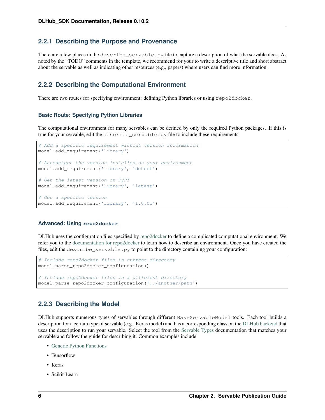### **2.2.1 Describing the Purpose and Provenance**

There are a few places in the describe\_servable.py file to capture a description of what the servable does. As noted by the "TODO" comments in the template, we recommend for your to write a descriptive title and short abstract about the servable as well as indicating other resources (e.g., papers) where users can find more information.

### **2.2.2 Describing the Computational Environment**

There are two routes for specifying environment: defining Python libraries or using repo2docker.

#### **Basic Route: Specifying Python Libraries**

The computational environment for many servables can be defined by only the required Python packages. If this is true for your servable, edit the describe\_servable.py file to include these requirements:

```
# Add a specific requirement without version information
model.add_requirement('library')
# Autodetect the version installed on your environment
model.add_requirement('library', 'detect')
# Get the latest version on PyPI
model.add_requirement('library', 'latest')
# Get a specific version
model.add_requirement('library', '1.0.0b')
```
#### **Advanced: Using repo2docker**

DLHub uses the configuration files specified by [repo2docker](https://repo2docker.readthedocs.io) to define a complicated computational environment. We refer you to the [documentation for repo2docker](https://repo2docker.readthedocs.io/en/latest/config_files.html) to learn how to describe an environment. Once you have created the files, edit the describe\_servable.py to point to the directory containing your configuration:

```
# Include repo2docker files in current directory
model.parse_repo2docker_configuration()
# Include repo2docker files in a different directory
model.parse_repo2docker_configuration('../another/path')
```
### **2.2.3 Describing the Model**

DLHub supports numerous types of servables through different BaseServableModel tools. Each tool builds a description for a certain type of servable (e.g., Keras model) and has a corresponding class on the [DLHub backend](https://github.com/DLHub-Argonne/home_run) that uses the description to run your servable. Select the tool from the [Servable Types](servable-types.html) documentation that matches your servable and follow the guide for describing it. Common examples include:

- [Generic Python Functions](servable-types.html#python-functions)
- Tensorflow
- Keras
- Scikit-Learn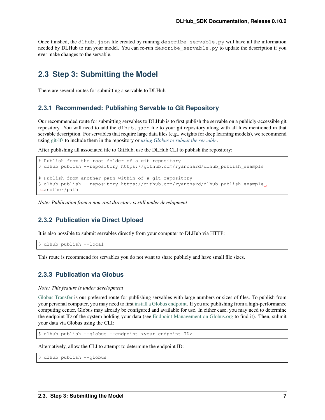Once finished, the dlhub. json file created by running describe servable. py will have all the information needed by DLHub to run your model. You can re-run describe servable.py to update the description if you ever make changes to the servable.

### <span id="page-10-0"></span>**2.3 Step 3: Submitting the Model**

There are several routes for submitting a servable to DLHub.

### **2.3.1 Recommended: Publishing Servable to Git Repository**

Our recommended route for submitting servables to DLHub is to first publish the servable on a publicly-accessible git repository. You will need to add the dlhub. json file to your git repository along with all files mentioned in that servable description. For servables that require large data files (e.g., weights for deep learning models), we recommend using [git-lfs](https://git-lfs.github.com/) to include them in the repository or *[using Globus to submit the servable](#page-10-1)*.

After publishing all associated file to GitHub, use the DLHub CLI to publish the repository:

```
# Publish from the root folder of a git repository
$ dlhub publish --repository https://github.com/ryanchard/dlhub_publish_example
# Publish from another path within of a git repository
$ dlhub publish --repository https://github.com/ryanchard/dlhub_publish_example
˓→another/path
```
*Note: Publication from a non-root directory is still under development*

### **2.3.2 Publication via Direct Upload**

It is also possible to submit servables directly from your computer to DLHub via HTTP:

\$ dlhub publish --local

This route is recommend for servables you do not want to share publicly and have small file sizes.

### <span id="page-10-1"></span>**2.3.3 Publication via Globus**

*Note: This feature is under development*

[Globus Transfer](https://www.globus.org/) is our preferred route for publishing servables with large numbers or sizes of files. To publish from your personal computer, you may need to first [install a Globus endpoint.](https://www.globus.org/globus-connect) If you are publishing from a high-performance computing center, Globus may already be configured and available for use. In either case, you may need to determine the endpoint ID of the system holding your data (see [Endpoint Management on Globus.org](https://app.globus.org/endpoints) to find it). Then, submit your data via Globus using the CLI:

\$ dlhub publish --globus --endpoint <your endpoint ID>

Alternatively, allow the CLI to attempt to determine the endpoint ID:

\$ dlhub publish --globus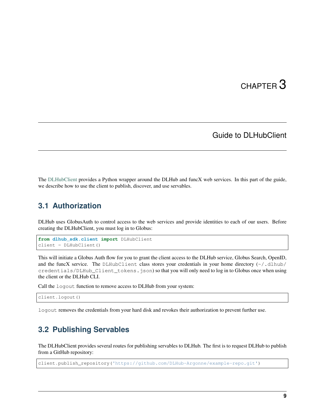# CHAPTER 3

### Guide to DLHubClient

<span id="page-12-0"></span>The [DLHubClient](source/dlhub_sdk.html#dlhub_sdk.client.DLHubClient) provides a Python wrapper around the DLHub and funcX web services. In this part of the guide, we describe how to use the client to publish, discover, and use servables.

### <span id="page-12-1"></span>**3.1 Authorization**

DLHub uses GlobusAuth to control access to the web services and provide identities to each of our users. Before creating the DLHubClient, you must log in to Globus:

```
from dlhub_sdk.client import DLHubClient
client = DLHubClient()
```
This will initiate a Globus Auth flow for you to grant the client access to the DLHub service, Globus Search, OpenID, and the funcX service. The DLHubClient class stores your credentials in your home directory  $(\sim)$ .dlhub/ credentials/DLHub\_Client\_tokens.json) so that you will only need to log in to Globus once when using the client or the DLHub CLI.

Call the logout function to remove access to DLHub from your system:

client.logout()

logout removes the credentials from your hard disk and revokes their authorization to prevent further use.

### <span id="page-12-2"></span>**3.2 Publishing Servables**

The DLHubClient provides several routes for publishing servables to DLHub. The first is to request DLHub to publish from a GitHub repository:

client.publish\_repository('https://github.com/DLHub-Argonne/example-repo.git')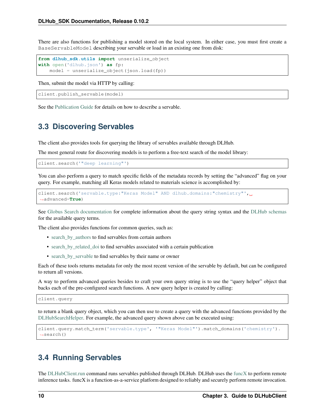There are also functions for publishing a model stored on the local system. In either case, you must first create a BaseServableModel describing your servable or load in an existing one from disk:

```
from dlhub_sdk.utils import unserialize_object
with open('dlhub.json') as fp:
    model = unserialize_object(json.load(fp))
```
Then, submit the model via HTTP by calling:

```
client.publish_servable(model)
```
See the [Publication Guide](servable-publication.html) for details on how to describe a servable.

### <span id="page-13-0"></span>**3.3 Discovering Servables**

The client also provides tools for querying the library of servables available through DLHub.

The most general route for discovering models is to perform a free-text search of the model library:

client.search('"deep learning"')

You can also perform a query to match specific fields of the metadata records by setting the "advanced" flag on your query. For example, matching all Keras models related to materials science is accomplished by:

```
client.search('servable.type:"Keras Model" AND dlhub.domains:"chemistry"',..
˓→advanced=True)
```
See [Globus Search documentation](https://docs.globus.org/api/search/search/#query_syntax) for complete information about the query string syntax and the [DLHub schemas](https://github.com/DLHub-Argonne/dlhub_schemas) for the available query terms.

The client also provides functions for common queries, such as:

- [search\\_by\\_authors](source/dlhub_sdk.html#dlhub_sdk.client.DLHubClient.search_by_authors) to find servables from certain authors
- [search\\_by\\_related\\_doi](source/dlhub_sdk.html#dlhub_sdk.client.DLHubClient.search_by_related_doi) to find servables associated with a certain publication
- [search\\_by\\_servable](source/dlhub_sdk.html#dlhub_sdk.client.DLHubClient.search_by_servable) to find servables by their name or owner

Each of these tools returns metadata for only the most recent version of the servable by default, but can be configured to return all versions.

A way to perform advanced queries besides to craft your own query string is to use the "query helper" object that backs each of the pre-configured search functions. A new query helper is created by calling:

client.query

to return a blank query object, which you can then use to create a query with the advanced functions provided by the [DLHubSearchHelper.](source/dlhub_sdk.utils.html#dlhub_sdk.utils.search.DLHubSearchHelper) For example, the advanced query shown above can be executed using:

```
client.query.match_term('servable.type', '"Keras Model"').match_domains('chemistry').
˓→search()
```
### <span id="page-13-1"></span>**3.4 Running Servables**

The [DLHubClient.run](source/dlhub_sdk.html#dlhub_sdk.client.DLHubClient.run) command runs servables published through DLHub. DLHub uses the [funcX](https://funcx.org) to perform remote inference tasks. funcX is a function-as-a-service platform designed to reliably and securely perform remote invocation.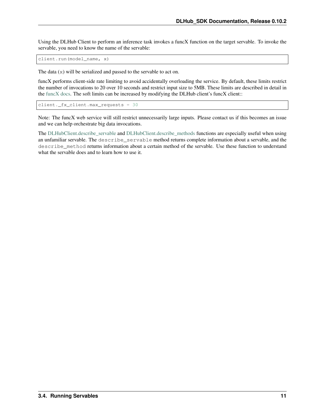Using the DLHub Client to perform an inference task invokes a funcX function on the target servable. To invoke the servable, you need to know the name of the servable:

client.run(model\_name, x)

The data (x) will be serialized and passed to the servable to act on.

funcX performs client-side rate limiting to avoid accidentally overloading the service. By default, these limits restrict the number of invocations to 20 over 10 seconds and restrict input size to 5MB. These limits are described in detail in the [funcX docs.](https://funcx.readthedocs.io/en/latest/client.html#client-throttling) The soft limits can be increased by modifying the DLHub client's funcX client::

```
client._fx_client.max_requests = 30
```
Note: The funcX web service will still restrict unnecessarily large inputs. Please contact us if this becomes an issue and we can help orchestrate big data invocations.

The [DLHubClient.describe\\_servable](source/dlhub_sdk.html#dlhub_sdk.client.DLHubClient.describe_servable) and [DLHubClient.describe\\_methods](source/dlhub_sdk.html#dlhub_sdk.client.DLHubClient.describe_methods) functions are especially useful when using an unfamiliar servable. The describe\_servable method returns complete information about a servable, and the describe\_method returns information about a certain method of the servable. Use these function to understand what the servable does and to learn how to use it.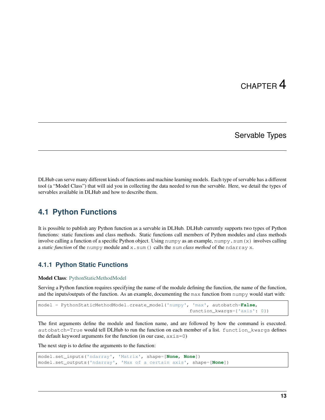# CHAPTER 4

## Servable Types

<span id="page-16-0"></span>DLHub can serve many different kinds of functions and machine learning models. Each type of servable has a different tool (a "Model Class") that will aid you in collecting the data needed to run the servable. Here, we detail the types of servables available in DLHub and how to describe them.

# <span id="page-16-1"></span>**4.1 Python Functions**

It is possible to publish any Python function as a servable in DLHub. DLHub currently supports two types of Python functions: static functions and class methods. Static functions call members of Python modules and class methods involve calling a function of a specific Python object. Using numpy as an example, numpy. sum  $(x)$  involves calling a *static function* of the numpy module and x.sum() calls the sum *class method* of the ndarray x.

### **4.1.1 Python Static Functions**

Model Class: [PythonStaticMethodModel](source/dlhub_sdk.models.servables.html#dlhub_sdk.models.servables.python.PythonStaticMethodModel)

Serving a Python function requires specifying the name of the module defining the function, the name of the function, and the inputs/outputs of the function. As an example, documenting the max function from numpy would start with:

```
model = PythonStaticMethodModel.create_model('numpy', 'max', autobatch=False,
                                                      function_kwargs={'axis': 0})
```
The first arguments define the module and function name, and are followed by how the command is executed. autobatch=True would tell DLHub to run the function on each member of a list. function\_kwargs defines the default keyword arguments for the function (in our case,  $axis=0$ )

The next step is to define the arguments to the function:

```
model.set_inputs('ndarray', 'Matrix', shape=[None, None])
model.set_outputs('ndarray', 'Max of a certain axis', shape=[None])
```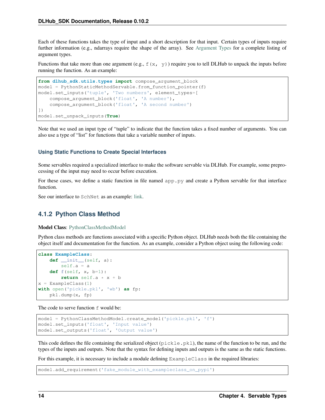Each of these functions takes the type of input and a short description for that input. Certain types of inputs require further information (e.g., ndarrays require the shape of the array). See [Argument Types](argument-types.html) for a complete listing of argument types.

Functions that take more than one argument (e.g.,  $f(x, y)$ ) require you to tell DLHub to unpack the inputs before running the function. As an example:

```
from dlhub_sdk.utils.types import compose_argument_block
model = PythonStaticMethodServable.from_function_pointer(f)
model.set_inputs('tuple', 'Two numbers', element_types=[
    compose_argument_block('float', 'A number'),
    compose_argument_block('float', 'A second number')
])
model.set_unpack_inputs(True)
```
Note that we used an input type of "tuple" to indicate that the function takes a fixed number of arguments. You can also use a type of "list" for functions that take a variable number of inputs.

#### **Using Static Functions to Create Special Interfaces**

Some servables required a specialized interface to make the software servable via DLHub. For example, some preprocessing of the input may need to occur before execution.

For these cases, we define a static function in file named app.py and create a Python servable for that interface function.

See our interface to SchNet as an example: [link.](https://github.com/DLHub-Argonne/dlhub_containers/tree/master/schnet)

### **4.1.2 Python Class Method**

Model Class: [PythonClassMethodModel](source/dlhub_sdk.models.servables.html#dlhub_sdk.models.servables.python.PythonClassMethodModel)

Python class methods are functions associated with a specific Python object. DLHub needs both the file containing the object itself and documentation for the function. As an example, consider a Python object using the following code:

```
class ExampleClass:
    def __init__(self, a):
        self.a = a
    def f(self, x, b=1):
        return self.a * x + b
x = ExampleClass(1)
with open('pickle.pkl', 'wb') as fp:
    pkl.dump(x, fp)
```
The code to serve function f would be:

```
model = PythonClassMethodModel.create_model('pickle.pkl', 'f')
model.set_inputs('float', 'Input value')
model.set_outputs('float', 'Output value')
```
This code defines the file containing the serialized object ( $\text{pickle } p k \text{th}$ ), the name of the function to be run, and the types of the inputs and outputs. Note that the syntax for defining inputs and outputs is the same as the static functions.

For this example, it is necessary to include a module defining ExampleClass in the required libraries:

model.add\_requirement('fake\_module\_with\_exampleclass\_on\_pypi')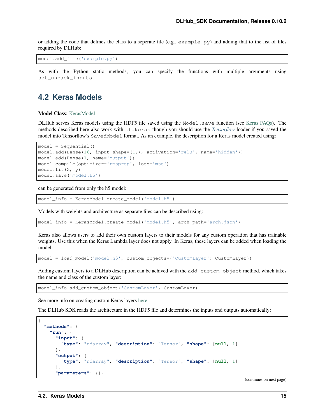or adding the code that defines the class to a seperate file (e.g.,  $\infty$  and  $\infty$ ) and adding that to the list of files required by DLHub:

model.add\_file('example.py')

As with the Python static methods, you can specify the functions with multiple arguments using set\_unpack\_inputs.

### <span id="page-18-0"></span>**4.2 Keras Models**

Model Class: [KerasModel](source/dlhub_sdk.models.servables.html#dlhub_sdk.models.servables.keras.KerasModel)

DLHub serves Keras models using the HDF5 file saved using the Model.save function (see [Keras FAQs\)](https://keras.io/getting-started/faq/#savingloading-whole-models-architecture-weights-optimizer-state). The methods described here also work with tf.keras though you should use the *[Tensorflow](#page-20-0)* loader if you saved the model into Tensorflow's SavedModel format. As an example, the description for a Keras model created using:

```
model = Sequential()
model.add(Dense(16, input_shape=(1,), activation='relu', name='hidden'))
model.add(Dense(1, name='output'))
model.compile(optimizer='rmsprop', loss='mse')
model.fit(X, y)
model.save('model.h5')
```
can be generated from only the h5 model:

model\_info = KerasModel.create\_model('model.h5')

Models with weights and architecture as separate files can be described using:

model\_info = KerasModel.create\_model('model.h5', arch\_path='arch.json')

Keras also allows users to add their own custom layers to their models for any custom operation that has trainable weights. Use this when the Keras Lambda layer does not apply. In Keras, these layers can be added when loading the model:

model = load\_model('model.h5', custom\_objects={'CustomLayer': CustomLayer})

Adding custom layers to a DLHub description can be achived with the add\_custom\_object method, which takes the name and class of the custom layer:

```
model_info.add_custom_object('CustomLayer', CustomLayer)
```
See more info on creating custom Keras layers [here.](https://keras.io/layers/writing-your-own-keras-layers/)

The DLHub SDK reads the architecture in the HDF5 file and determines the inputs and outputs automatically:

```
{
  "methods": {
    "run": {
      "input": {
        "type": "ndarray", "description": "Tensor", "shape": [null, 1]
      },
      "output": {
        "type": "ndarray", "description": "Tensor", "shape": [null, 1]
      },
      "parameters": {},
```
(continues on next page)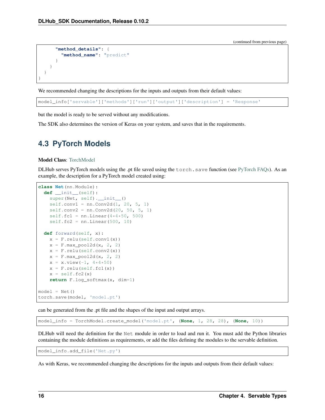(continued from previous page)

```
"method_details": {
      "method_name": "predict"
    }
  }
}
```
We recommended changing the descriptions for the inputs and outputs from their default values:

model\_info['servable']['methods']['run']['output']['description'] = 'Response'

but the model is ready to be served without any modifications.

The SDK also determines the version of Keras on your system, and saves that in the requirements.

# <span id="page-19-0"></span>**4.3 PyTorch Models**

#### Model Class: [TorchModel](source/dlhub_sdk.models.servables.html#dlhub_sdk.models.servables.pytorch.TorchModel)

}

DLHub serves PyTorch models using the .pt file saved using the torch.save function (see [PyTorch FAQs\)](https://pytorch.org/tutorials/beginner/saving_loading_models.html). As an example, the description for a PyTorch model created using:

```
class Net(nn.Module):
  def __init__(self):
    super(Net, self).__init_()
    self.conv1 = nn.Conv2d(1, 20, 5, 1)self.conv2 = nn.Conv2d(20, 50, 5, 1)self.fc1 = nn.Linear(4*4*50, 500)self.fc2 = nn.Linear(500, 10)def forward(self, x):
    x = F.\text{relu}(\text{self.com}v1(x))x = F.max\_pool2d(x, 2, 2)x = F.relu(self.conv2(x))
    x = F.max\_pool2d(x, 2, 2)x = x \cdot view (-1, 4 \times 4 \times 50)
    x = F.relu(self.fc1(x))
    x = self.fc2(x)return F.log_softmax(x, dim=1)
model = Net()torch.save(model, 'model.pt')
```
can be generated from the .pt file and the shapes of the input and output arrays.

model\_info = TorchModel.create\_model('model.pt', (**None**, 1, 28, 28), (**None**, 10))

DLHub will need the definition for the Net module in order to load and run it. You must add the Python libraries containing the module definitions as requirements, or add the files defining the modules to the servable definition.

model\_info.add\_file('Net.py')

As with Keras, we recommended changing the descriptions for the inputs and outputs from their default values: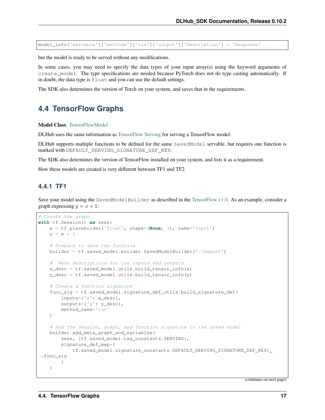model\_info['servable']['methods']['run']['output']['description'] = 'Response'

but the model is ready to be served without any modifications.

In some cases, you may need to specify the data types of your input array(s) using the keyword arguments of create\_model. The type specifications are needed because PyTorch does not do type casting automatically. If in doubt, the data type is float and you can use the default settings.

The SDK also determines the version of Torch on your system, and saves that in the requirements.

### <span id="page-20-0"></span>**4.4 TensorFlow Graphs**

Model Class: [TensorFlowModel](source/dlhub_sdk.models.servables.html#dlhub_sdk.models.servables.tensorflow.TensorFlowModel)

DLHub uses the same information as [TensorFlow Serving](https://www.tensorflow.org/serving/) for serving a TensorFlow model.

DLHub supports multiple functions to be defined for the same SavedModel servable, but requires one function is marked with DEFAULT\_SERVING\_SIGNATURE\_DEF\_KEY.

The SDK also determines the version of TensorFlow installed on your system, and lists it as a requirement.

How these models are created is very different between TF1 and TF2.

### **4.4.1 TF1**

Save your model using the SavedModelBuilder as described in the [TensorFlow v1.0.](https://www.tensorflow.org/versions/r1.15/api_docs/python/tf/saved_model/Builder) As an example, consider a graph expressing  $y = x + 1$ :

```
# Create the graph
with tf.Session() as sess:
   x = tf.placeholder('float', shape=(None, 3), name='Input')
   y = x + 1# Prepare to save the function
   builder = tf.saved_model.builder.SavedModelBuilder('./export')
    # Make descriptions for the inputs and outputs
   x_d desc = tf. saved_model.utils.build_tensor_info(x)
   y_desc = tf.saved_model.utils.build_tensor_info(y)
    # Create a function signature
    func_sig = tf.saved_model.signature_def_utils.build_signature_def(
       inputs={'x': x_desc},
       outputs={'y': y_desc},
       method_name='run'
    )
    # Add the session, graph, and function signature to the saved model
   builder.add_meta_graph_and_variables(
        sess, [tf.saved_model.tag_constants.SERVING],
       signature_def_map={
            tf.saved_model.signature_constants.DEFAULT_SERVING_SIGNATURE_DEF_KEY:
˓→func_sig
       }
    )
```
(continues on next page)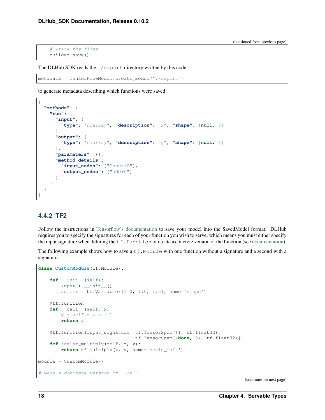(continued from previous page)

```
# Write the files
builder.save()
```
The DLHub SDK reads the ./export directory written by this code:

```
metadata = TensorFlowModel.create_model("./export")
```
to generate metadata describing which functions were saved:

```
{
  "methods": {
    "run": {
      "input": {
        "type": "ndarray", "description": "x", "shape": [null, 3]
      },
      "output": {
        "type": "ndarray", "description": "y", "shape": [null, 3]
      },
      "parameters": {},
      "method_details": {
        "input_nodes": ["Input:0"],
        "output_nodes": ["add:0"]
      }
   }
 }
}
```
### **4.4.2 TF2**

Follow the instructions in [Tensorflow's documentation](https://www.tensorflow.org/guide/saved_model) to save your model into the SavedModel format. DLHub requires you to specify the signatures for each of your function you wish to serve, which means you must either specify the input signature when defining the  $tf$ . function or create a concrete version of the function (see [documentation\)](https://www.tensorflow.org/guide/saved_model#specifying_signatures_during_export).

The following example shows how to save a  $\pm$  f. Module with one function without a signature and a second with a signature.

```
class CustomModule(tf.Module):
   def __init__(self):
       super().__init_()
        self.m = tf.Variable([1.0, 1.0, 1.0], name='slope')@tf.function
   def __call__(self, x):
       y = self.m * x + 1return y
   @tf.function(input_signature=[tf.TensorSpec([], tf.float32),
                                  tf.TensorSpec((None, 3), tf.float32)])
    def scalar_multiply(self, z, x):
        return tf.multiply(z, x, name='scale_mult')
module = CustomModule()
# Make a concrete version of __call__
```
(continues on next page)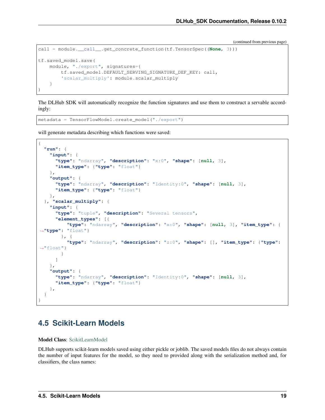(continued from previous page)

```
call = module.__call__.get_concrete_function(tf.TensorSpec((None, 3)))
tf.saved_model.save(
   module, "./export", signatures={
        tf.saved_model.DEFAULT_SERVING_SIGNATURE_DEF_KEY: call,
        'scalar_multiply': module.scalar_multiply
    }
)
```
The DLHub SDK will automatically recognize the function signatures and use them to construct a servable accordingly:

```
metadata = TensorFlowModel.create_model("./export")
```
will generate metadata describing which functions were saved:

```
{
  "run": {
   "input": {
     "type": "ndarray", "description": "x:0", "shape": [null, 3],
      "item_type": {"type": "float"}
   },
    "output": {
      "type": "ndarray", "description": "Identity:0", "shape": [null, 3],
      "item_type": {"type": "float"}
   },
  }, "scalar_multiply": {
   "input": {
      "type": "tuple", "description": "Several tensors",
      "element_types": [{
          "type": "ndarray", "description": "x:0", "shape": [null, 3], "item_type": {
˓→"type": "float"}
        }, {
          "type": "ndarray", "description": "z:0", "shape": [], "item_type": {"type":
˓→"float"}
        }
     ]
    },
    "output": {
     "type": "ndarray", "description": "Identity:0", "shape": [null, 3],
      "item_type": {"type": "float"}
   },
  }
}
```
### <span id="page-22-0"></span>**4.5 Scikit-Learn Models**

Model Class: [ScikitLearnModel](source/dlhub_sdk.models.servables.html#dlhub_sdk.models.servables.sklearn.ScikitLearnModel)

DLHub supports scikit-learn models saved using either pickle or joblib. The saved models files do not always contain the number of input features for the model, so they need to provided along with the serialization method and, for classifiers, the class names: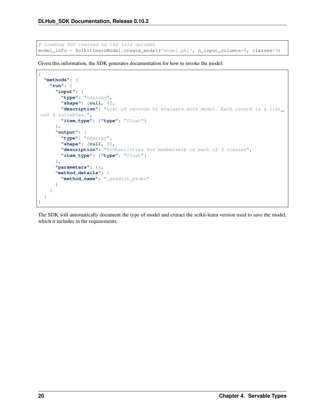```
# Loading SVC trained on the iris dataset
model_info = ScikitLearnModel.create_model('model.pkl', n_input_columns=4, classes=3)
```
Given this information, the SDK generates documentation for how to invoke the model:

```
{
  "methods": {
   "run": {
      "input": {
       "type": "ndarray",
       "shape": [null, 4],
       "description": "List of records to evaluate with model. Each record is a list
˓→of 4 variables.",
        "item_type": {"type": "float"}
     },
     "output": {
       "type": "ndarray",
       "shape": [null, 3],
       "description": "Probabilities for membership in each of 3 classes",
       "item_type": {"type": "float"}
     },
      "parameters": {},
      "method_details": {
       "method_name": "_predict_proba"
     }
   }
  }
}
```
The SDK will automatically document the type of model and extract the scikit-learn version used to save the model, which it includes in the requirements.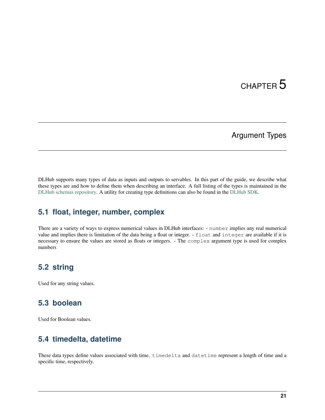# CHAPTER 5

# Argument Types

<span id="page-24-0"></span>DLHub supports many types of data as inputs and outputs to servables. In this part of the guide, we describe what these types are and how to define them when describing an interface. A full listing of the types is maintained in the [DLHub schemas repository.](https://github.com/DLHub-Argonne/dlhub_schemas/blob/master/schemas/servable/argument_type.json) A utility for creating type definitions can also be found in the [DLHub SDK.](source/dlhub_sdk.utils.html#module-dlhub_sdk.utils.types)

### <span id="page-24-1"></span>**5.1 float, integer, number, complex**

There are a variety of ways to express numerical values in DLHub interfaces: - number implies any real numerical value and implies there is limitation of the data being a float or integer. - float and integer are available if it is necessary to ensure the values are stored as floats or integers. - The complex argument type is used for complex numbers

### <span id="page-24-2"></span>**5.2 string**

Used for any string values.

### <span id="page-24-3"></span>**5.3 boolean**

Used for Boolean values.

# <span id="page-24-4"></span>**5.4 timedelta, datetime**

These data types define values associated with time. timedelta and datetime represent a length of time and a specific time, respectively.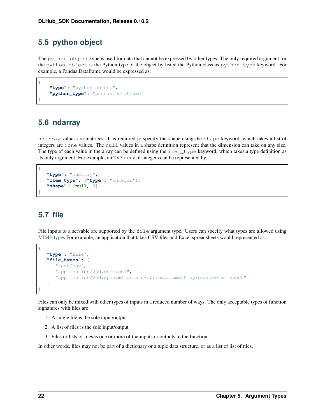### <span id="page-25-0"></span>**5.5 python object**

The python object type is used for data that cannot be expressed by other types. The only required argument for the python object is the Python type of the object by listed the Python class as python\_type keyword. For example, a Pandas Dataframe would be expressed as:

```
"type": "python object",
"python_type": "pandas.DataFrame"
```
### <span id="page-25-1"></span>**5.6 ndarray**

{

}

{

}

ndarray values are matrices. It is required to specify the shape using the shape keyword, which takes a list of integers are None values. The null values in a shape definition represent that the dimension can take on any size. The type of each value in the array can be defined using the item\_type keyword, which takes a type definition as its only argument. For example, an Nx3 array of integers can be represented by:

```
"type": "ndarray",
"item_type": {"type": "integer"},
"shape": [null, 3]
```
# <span id="page-25-2"></span>**5.7 file**

File inputs to a servable are supported by the file argument type. Users can specify what types are allowed using [MIME types](https://developer.mozilla.org/en-US/docs/Web/HTTP/Basics_of_HTTP/MIME_types/Complete_list_of_MIME_types) For example, an application that takes CSV files and Excel spreadsheets would represented as:

```
{
  "type": "file",
  "file_types": [
      "text/csv",
      "application/vnd.ms-excel",
      "application/vnd.openxmlformats-officedocument.spreadsheetml.sheet"
  ]
}
```
Files can only be mixed with other types of inputs in a reduced number of ways. The only acceptable types of function signatures with files are:

- 1. A single file is the sole input/output
- 2. A list of files is the sole input/output
- 3. Files or lists of files is one or more of the inputs or outputs to the function

In other words, files may not be part of a dictionary or a tuple data structure, or as a list of list of files.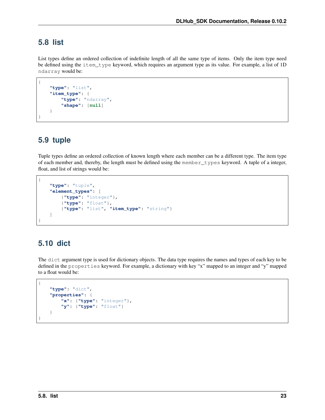## <span id="page-26-0"></span>**5.8 list**

List types define an ordered collection of indefinite length of all the same type of items. Only the item type need be defined using the item\_type keyword, which requires an argument type as its value. For example, a list of 1D ndarray would be:

```
{
    "type": "list",
    "item_type": {
        "type": "ndarray",
        "shape": [null]
    }
}
```
# <span id="page-26-1"></span>**5.9 tuple**

Tuple types define an ordered collection of known length where each member can be a different type. The item type of each member and, thereby, the length must be defined using the member\_types keyword. A tuple of a integer, float, and list of strings would be:

```
{
    "type": "tuple",
    "element_types": [
        {"type": "integer"},
        {"type": "float"},
        {"type": "list", "item_type": "string"}
    ]
}
```
# <span id="page-26-2"></span>**5.10 dict**

The dict argument type is used for dictionary objects. The data type requires the names and types of each key to be defined in the properties keyword. For example, a dictionary with key "x" mapped to an integer and "y" mapped to a float would be:

```
{
    "type": "dict",
    "properties": {
        "x": {"type": "integer"},
        "y": {"type": "float"}
    }
}
```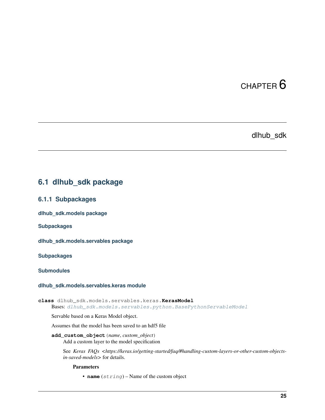# CHAPTER 6

### dlhub\_sdk

### <span id="page-28-3"></span><span id="page-28-1"></span><span id="page-28-0"></span>**6.1 dlhub\_sdk package**

### **6.1.1 Subpackages**

**dlhub\_sdk.models package**

**Subpackages**

**dlhub\_sdk.models.servables package**

**Subpackages**

**Submodules**

#### <span id="page-28-2"></span>**dlhub\_sdk.models.servables.keras module**

**class** dlhub\_sdk.models.servables.keras.**KerasModel** Bases: [dlhub\\_sdk.models.servables.python.BasePythonServableModel](#page-30-0)

Servable based on a Keras Model object.

Assumes that the model has been saved to an hdf5 file

**add\_custom\_object**(*name*, *custom\_object*) Add a custom layer to the model specification

See *Keras FAQs* <https://keras.io/getting-started/faq/#handling-custom-layers-or-other-custom-objects*in-saved-models>* for details.

Parameters

• **name**  $(string)$  – Name of the custom object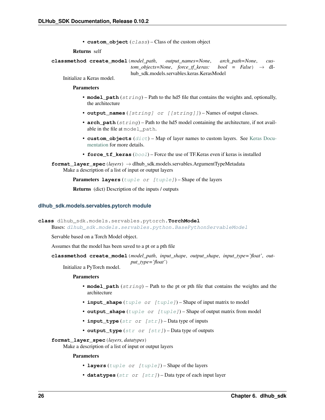• **custom** object (class) – Class of the custom object

Returns self

<span id="page-29-1"></span>**classmethod create\_model**(*model\_path*, *output\_names=None*, *arch\_path=None*, *custom\_objects=None,\_force\_tf\_keras: bool = False* $) \rightarrow$  dlhub\_sdk.models.servables.keras.KerasModel

Initialize a Keras model.

Parameters

- **model\_path** (string) Path to the hd5 file that contains the weights and, optionally, the architecture
- **output\_names** ([string] or [[string]]) Names of output classes.
- **arch\_path** (string) Path to the hd5 model containing the architecture, if not available in the file at model path.
- **custom** objects ([dict](https://docs.python.org/3/library/stdtypes.html#dict)) Map of layer names to custom layers. See [Keras Docu](https://www.tensorflow.org/api_docs/python/tf/keras/models/load_model)[mentation](https://www.tensorflow.org/api_docs/python/tf/keras/models/load_model) for more details.
- **force\_tf\_keras** ([bool](https://docs.python.org/3/library/functions.html#bool)) Force the use of TF.Keras even if keras is installed

**format\_layer\_spec**(*layers*) → dlhub\_sdk.models.servables.ArgumentTypeMetadata Make a description of a list of input or output layers

Parameters layers ([tuple](https://docs.python.org/3/library/stdtypes.html#tuple) or [\[tuple\]](https://docs.python.org/3/library/stdtypes.html#tuple)) – Shape of the layers

Returns (dict) Description of the inputs / outputs

#### <span id="page-29-0"></span>**dlhub\_sdk.models.servables.pytorch module**

```
class dlhub_sdk.models.servables.pytorch.TorchModel
    dlhub_sdk.models.servables.python.BasePythonServableModel
```
Servable based on a Torch Model object.

Assumes that the model has been saved to a pt or a pth file

**classmethod create\_model**(*model\_path*, *input\_shape*, *output\_shape*, *input\_type='float'*, *output\_type='float'*)

Initialize a PyTorch model.

#### Parameters

- **model\_path** (string) Path to the pt or pth file that contains the weights and the architecture
- **input\_shape** ([tuple](https://docs.python.org/3/library/stdtypes.html#tuple) or [\[tuple\]](https://docs.python.org/3/library/stdtypes.html#tuple)) Shape of input matrix to model
- **output\_shape** ([tuple](https://docs.python.org/3/library/stdtypes.html#tuple) or [\[tuple\]](https://docs.python.org/3/library/stdtypes.html#tuple)) Shape of output matrix from model
- **input\_type** ([str](https://docs.python.org/3/library/stdtypes.html#str) or [\[str\]](https://docs.python.org/3/library/stdtypes.html#str)) Data type of inputs
- **output\_type** ([str](https://docs.python.org/3/library/stdtypes.html#str) or [\[str\]](https://docs.python.org/3/library/stdtypes.html#str)) Data type of outputs

**format\_layer\_spec**(*layers*, *datatypes*)

Make a description of a list of input or output layers

- **layers** ([tuple](https://docs.python.org/3/library/stdtypes.html#tuple) or [\[tuple\]](https://docs.python.org/3/library/stdtypes.html#tuple)) Shape of the layers
- **datatypes** ([str](https://docs.python.org/3/library/stdtypes.html#str) or [\[str\]](https://docs.python.org/3/library/stdtypes.html#str)) Data type of each input layer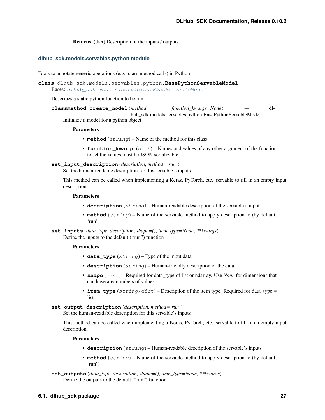Returns (dict) Description of the inputs / outputs

#### <span id="page-30-2"></span><span id="page-30-1"></span>**dlhub\_sdk.models.servables.python module**

Tools to annotate generic operations (e.g., class method calls) in Python

```
class dlhub_sdk.models.servables.python.BasePythonServableModel
    Bases: dlhub sdk.models.servables.BaseServableModel
```
Describes a static python function to be run

```
classmethod create_model(method, function_kwargs=None) → dl-
                            hub_sdk.models.servables.python.BasePythonServableModel
    Initialize a model for a python object
```
#### Parameters

- **method**  $(string)$  Name of the method for this class
- **function\_kwargs** ([dict](https://docs.python.org/3/library/stdtypes.html#dict)) Names and values of any other argument of the function to set the values must be JSON serializable.

```
set_input_description(description, method='run')
```
Set the human-readable description for this servable's inputs

This method can be called when implementing a Keras, PyTorch, etc. servable to fill in an empty input description.

#### Parameters

- **description** (string) Human-readable description of the servable's inputs
- **method** (string) Name of the servable method to apply description to (by default, 'run')

**set\_inputs**(*data\_type*, *description*, *shape=()*, *item\_type=None*, *\*\*kwargs*) Define the inputs to the default ("run") function

#### **Parameters**

- **data\_type** (string) Type of the input data
- **description** (string) Human-friendly description of the data
- **shape** (*[list](https://docs.python.org/3/library/stdtypes.html#list)*) Required for data\_type of list or ndarray. Use *None* for dimensions that can have any numbers of values
- **item\_type**  $(s \text{triangle} t)$  Description of the item type. Required for data\_type = list
- **set\_output\_description**(*description*, *method='run'*)

Set the human-readable description for this servable's inputs

This method can be called when implementing a Keras, PyTorch, etc. servable to fill in an empty input description.

- **description** (string) Human-readable description of the servable's inputs
- **method** (string) Name of the servable method to apply description to (by default, 'run')
- **set\_outputs**(*data\_type*, *description*, *shape=()*, *item\_type=None*, *\*\*kwargs*) Define the outputs to the default ("run") function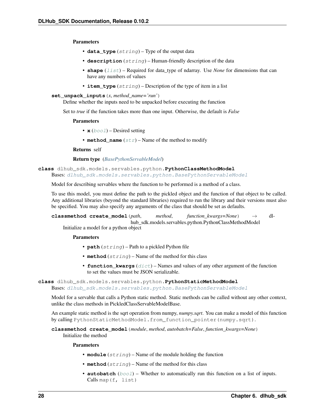<span id="page-31-0"></span>Parameters

- **data\_type** (string) Type of the output data
- **description** (string) Human-friendly description of the data
- **shape** (*[list](https://docs.python.org/3/library/stdtypes.html#list)*) Required for data\_type of ndarray. Use *None* for dimensions that can have any numbers of values
- **item\_type** (string) Description of the type of item in a list
- **set\_unpack\_inputs**(*x*, *method\_name='run'*)

Define whether the inputs need to be unpacked before executing the function

Set to *true* if the function takes more than one input. Otherwise, the default is *False*

#### Parameters

- $\mathbf{x}$  ([bool](https://docs.python.org/3/library/functions.html#bool)) Desired setting
- **method\_name**  $(str)$  $(str)$  $(str)$  Name of the method to modify

Returns self

#### Return type (*[BasePythonServableModel](#page-30-0)*)

**class** dlhub\_sdk.models.servables.python.**PythonClassMethodModel** Bases: [dlhub\\_sdk.models.servables.python.BasePythonServableModel](#page-30-0)

Model for describing servables where the function to be performed is a method of a class.

To use this model, you must define the path to the pickled object and the function of that object to be called. Any additional libraries (beyond the standard libraries) required to run the library and their versions must also be specified. You may also specify any arguments of the class that should be set as defaults.

**classmethod create\_model**(*path*, *method*, *function\_kwargs=None*) → dlhub\_sdk.models.servables.python.PythonClassMethodModel Initialize a model for a python object

Parameters

- **path** (string) Path to a pickled Python file
- **method** (string) Name of the method for this class
- **function\_kwargs** ([dict](https://docs.python.org/3/library/stdtypes.html#dict)) Names and values of any other argument of the function to set the values must be JSON serializable.

#### **class** dlhub\_sdk.models.servables.python.**PythonStaticMethodModel** Bases: [dlhub\\_sdk.models.servables.python.BasePythonServableModel](#page-30-0)

Model for a servable that calls a Python static method. Static methods can be called without any other context, unlike the class methods in PickledClassServableModelBase.

An example static method is the sqrt operation from numpy, *numpy.sqrt*. You can make a model of this function by calling PythonStaticMethodModel.from\_function\_pointer(numpy.sqrt).

**classmethod create\_model**(*module*, *method*, *autobatch=False*, *function\_kwargs=None*) Initialize the method

- **module** (string) Name of the module holding the function
- **method** (string) Name of the method for this class
- **autobatch**  $(b \circ \circ l)$  Whether to automatically run this function on a list of inputs. Calls map(f, list)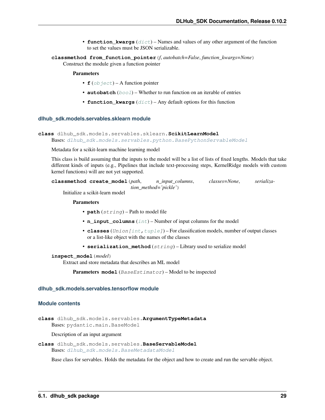- **function** kwargs  $(dict)$  $(dict)$  $(dict)$  Names and values of any other argument of the function to set the values must be JSON serializable.
- <span id="page-32-3"></span>**classmethod from\_function\_pointer**(*f*, *autobatch=False*, *function\_kwargs=None*) Construct the module given a function pointer

#### Parameters

- $f(\phi)$  *ject*) A function pointer
- **autobatch** ([bool](https://docs.python.org/3/library/functions.html#bool)) Whether to run function on an iterable of entries
- **function\_kwargs** ([dict](https://docs.python.org/3/library/stdtypes.html#dict)) Any default options for this function

#### <span id="page-32-2"></span>**dlhub\_sdk.models.servables.sklearn module**

```
class dlhub_sdk.models.servables.sklearn.ScikitLearnModel
```
Bases: [dlhub\\_sdk.models.servables.python.BasePythonServableModel](#page-30-0)

Metadata for a scikit-learn machine learning model

This class is build assuming that the inputs to the model will be a list of lists of fixed lengths. Models that take different kinds of inputs (e.g., Pipelines that include text-processing steps, KernelRidge models with custom kernel functions) will are not yet supported.

```
classmethod create_model(path, n_input_columns, classes=None, serializa-
                           tion_method='pickle')
```
Initialize a scikit-learn model

#### Parameters

- **path** (string) Path to model file
- **n\_input\_columns** ([int](https://docs.python.org/3/library/functions.html#int)) Number of input columns for the model
- **classes** (Union [\[int](https://docs.python.org/3/library/functions.html#int), tuple]) For classification models, number of output classes or a list-like object with the names of the classes
- **serialization\_method** (string) Library used to serialize model

#### **inspect\_model**(*model*)

Extract and store metadata that describes an ML model

Parameters model (BaseEstimator) – Model to be inspected

#### **dlhub\_sdk.models.servables.tensorflow module**

#### <span id="page-32-1"></span>**Module contents**

**class** dlhub\_sdk.models.servables.**ArgumentTypeMetadata** Bases: pydantic.main.BaseModel

#### Description of an input argument

<span id="page-32-0"></span>**class** dlhub\_sdk.models.servables.**BaseServableModel** Bases: dlhub sdk.models.BaseMetadataModel

Base class for servables. Holds the metadata for the object and how to create and run the servable object.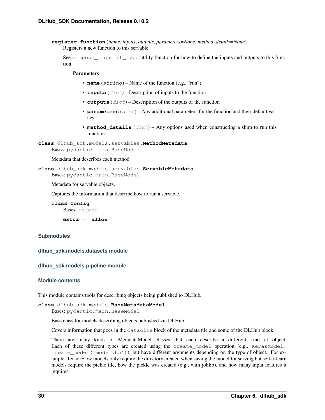```
register_function(name, inputs, outputs, parameters=None, method_details=None)
     Registers a new function to this servable
```
See compose\_argument\_type utility function for how to define the inputs and outputs to this function.

#### Parameters

- **name** (string) Name of the function (e.g., "run")
- **inputs** ([dict](https://docs.python.org/3/library/stdtypes.html#dict)) Description of inputs to the function
- **outputs**  $(dict)$  $(dict)$  $(dict)$  Description of the outputs of the function
- **parameters**  $(idict)$  $(idict)$  $(idict)$  Any additional parameters for the function and their default values
- **method details**  $(dict)$  $(dict)$  $(dict)$  Any options used when constructing a shim to run this function.

```
class dlhub_sdk.models.servables.MethodMetadata
    Bases: pydantic.main.BaseModel
```
Metadata that describes each method

```
class dlhub_sdk.models.servables.ServableMetadata
    Bases: pydantic.main.BaseModel
```
Metadata for servable objects.

Captures the information that describe how to run a servable.

```
class Config
   object
```
**extra = 'allow'**

### **Submodules**

**dlhub\_sdk.models.datasets module**

#### **dlhub\_sdk.models.pipeline module**

#### <span id="page-33-1"></span>**Module contents**

This module contains tools for describing objects being published to DLHub.

<span id="page-33-0"></span>**class** dlhub\_sdk.models.**BaseMetadataModel**

Bases: pydantic.main.BaseModel

Base class for models describing objects published via DLHub

Covers information that goes in the datacite block of the metadata file and some of the DLHub block.

There are many kinds of MetadataModel classes that each describe a different kind of object. Each of these different types are created using the create\_model operation (e.g., KerasModel. create\_model('model.h5')), but have different arguments depending on the type of object. For example, TensorFlow models only require the directory created when saving the model for serving but scikit-learn models require the pickle file, how the pickle was created (e.g., with joblib), and how many input features it requires.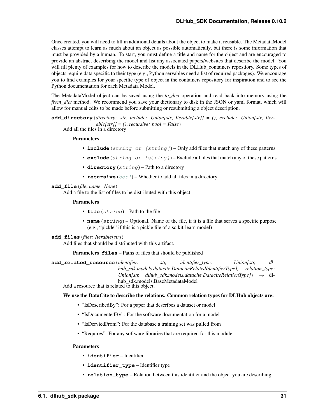<span id="page-34-0"></span>Once created, you will need to fill in additional details about the object to make it reusable. The MetadataModel classes attempt to learn as much about an object as possible automatically, but there is some information that must be provided by a human. To start, you must define a title and name for the object and are encouraged to provide an abstract describing the model and list any associated papers/websites that describe the model. You will fill plenty of examples for how to describe the models in the DLHub\_containers repostiory. Some types of objects require data specific to their type (e.g., Python servables need a list of required packages). We encourage you to find examples for your specific type of object in the containers repository for inspiration and to see the Python documentation for each Metadata Model.

The MetadataModel object can be saved using the *to\_dict* operation and read back into memory using the *from\_dict* method. We recommend you save your dictionary to disk in the JSON or yaml format, which will allow for manual edits to be made before submitting or resubmitting a object description.

**add\_directory**(*directory: str*, *include: Union[str*, *Iterable[str]] = ()*, *exclude: Union[str*, *Iterable[str]] = ()*, *recursive: bool = False*)

Add all the files in a directory

#### Parameters

- **include** (string or [string]) Only add files that match any of these patterns
- **exclude** (string or [string]) Exclude all files that match any of these patterns
- **directory** (string) Path to a directory
- **recursive** ([bool](https://docs.python.org/3/library/functions.html#bool)) Whether to add all files in a directory

#### **add\_file**(*file*, *name=None*)

Add a file to the list of files to be distributed with this object

#### **Parameters**

- **file** (string) Path to the file
- **name** (string) Optional. Name of the file, if it is a file that serves a specific purpose (e.g., "pickle" if this is a pickle file of a scikit-learn model)

```
add_files(files: Iterable[str])
```
Add files that should be distributed with this artifact.

Parameters **files** – Paths of files that should be published

**add\_related\_resource**(*identifier: str, identifier\_type: Union[str, dlhub\_sdk.models.datacite.DataciteRelatedIdentifierType], relation\_type: Union[str, dlhub sdk.models.datacite.DataciteRelationType]*)  $\rightarrow$  dlhub\_sdk.models.BaseMetadataModel

Add a resource that is related to this object.

#### We use the DataCite to describe the relations. Common relation types for DLHub objects are:

- "IsDescribedBy": For a paper that describes a dataset or model
- "IsDocumentedBy": For the software documentation for a model
- "IsDerviedFrom": For the database a training set was pulled from
- "Requires": For any software libraries that are required for this module

- **identifier** Identifier
- **identifier\_type** Identifier type
- **relation type** Relation between this identifier and the object you are describing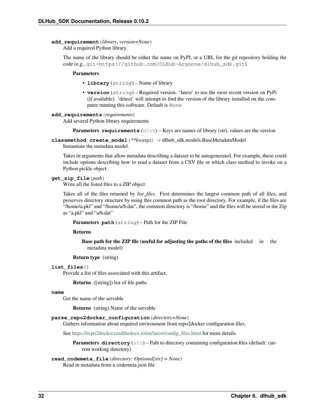#### <span id="page-35-0"></span>**add\_requirement**(*library*, *version=None*)

Add a required Python library.

The name of the library should be either the name on PyPI, or a URL for the git repository holding the code (e.g., git+https://github.com/DLHub-Argonne/dlhub\_sdk.git)

#### Parameters

- **library** (string) Name of library
- **version** (string) Required version. 'latest' to use the most recent version on PyPi (if available). 'detect' will attempt to find the version of the library installed on the computer running this software. Default is None

#### **add\_requirements**(*requirements*)

Add several Python library requirements

**Parameters requirements**  $(dict)$  $(dict)$  $(dict)$  – Keys are names of library (str), values are the version

**classmethod create\_model**(*\*\*kwargs*) → dlhub\_sdk.models.BaseMetadataModel

Instantiate the metadata model.

Takes in arguments that allow metadata describing a dataset to be autogenerated. For example, these could include options describing how to read a dataset from a CSV file or which class method to invoke on a Python pickle object.

#### **get\_zip\_file**(*path*)

Write all the listed files to a ZIP object

Takes all of the files returned by *list\_files*. First determines the largest common path of all files, and preserves directory structure by using this common path as the root directory. For example, if the files are "/home/a.pkl" and "/home/a/b.dat", the common directory is "/home" and the files will be stored in the Zip as "a.pkl" and "a/b.dat"

Parameters path (string) - Path for the ZIP File

Returns

Base path for the ZIP file (useful for adjusting the paths of the files included in the metadata model)

Return type (string)

#### **list\_files**()

Provide a list of files associated with this artifact.

Returns ([string]) list of file paths

#### **name**

Get the name of the servable

Returns (string) Name of the servable

#### **parse\_repo2docker\_configuration**(*directory=None*)

Gathers information about required environment from repo2docker configuration files.

See [https://repo2docker.readthedocs.io/en/latest/config\\_files.html](https://repo2docker.readthedocs.io/en/latest/config_files.html) for more details

**Parameters directory** ([str](https://docs.python.org/3/library/stdtypes.html#str)) – Path to directory containing configuration files (default: current working directory)

#### **read\_codemeta\_file**(*directory: Optional[str] = None*) Read in metadata from a codemeta.json file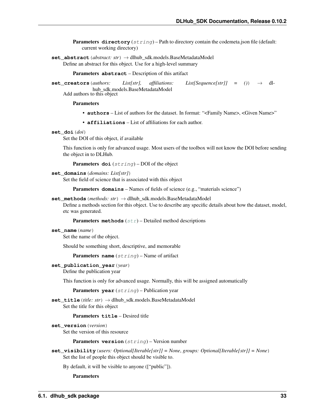**Parameters directory** (string) – Path to directory contain the codemeta.json file (default: current working directory)

<span id="page-36-0"></span>**set\_abstract**(*abstract: str*) → dlhub\_sdk.models.BaseMetadataModel Define an abstract for this object. Use for a high-level summary

Parameters **abstract** – Description of this artifact

**set\_creators**(*authors: List[str], affiliations: List[Sequence[str]] = ()*) → dlhub\_sdk.models.BaseMetadataModel

Add authors to this object

#### Parameters

- **authors** List of authors for the dataset. In format: "<Family Name>, <Given Name>"
- **affiliations** List of affiliations for each author.

#### **set\_doi**(*doi*)

Set the DOI of this object, if available

This function is only for advanced usage. Most users of the toolbox will not know the DOI before sending the object in to DLHub.

Parameters doi (string) – DOI of the object

#### **set\_domains**(*domains: List[str]*)

Set the field of science that is associated with this object

Parameters **domains** – Names of fields of science (e.g., "materials science")

#### **set\_methods**(*methods: str*) → dlhub\_sdk.models.BaseMetadataModel

Define a methods section for this object. Use to describe any specific details about how the dataset, model, etc was generated.

Parameters methods  $(str)$  $(str)$  $(str)$  – Detailed method descriptions

#### **set\_name**(*name*)

Set the name of the object.

Should be something short, descriptive, and memorable

Parameters **name** (string) – Name of artifact

#### **set\_publication\_year**(*year*)

Define the publication year

This function is only for advanced usage. Normally, this will be assigned automatically

Parameters **year** (string) – Publication year

**set\_title**(*title: str*) → dlhub\_sdk.models.BaseMetadataModel Set the title for this object

#### Parameters **title** – Desired title

```
set_version(version)
```
Set the version of this resource

Parameters **version** (string) – Version number

**set\_visibility**(*users: Optional[Iterable[str]] = None*, *groups: Optional[Iterable[str]] = None*) Set the list of people this object should be visible to.

By default, it will be visible to anyone (["public"]).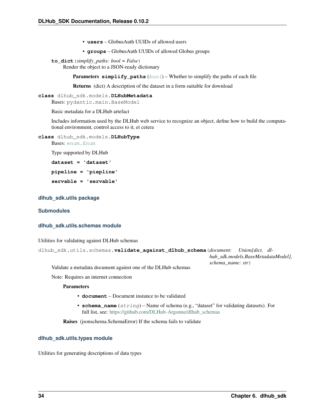- **users** GlobusAuth UUIDs of allowed users
- **groups** GlobusAuth UUIDs of allowed Globus groups

<span id="page-37-2"></span>**to\_dict**(*simplify\_paths: bool = False*) Render the object to a JSON-ready dictionary

**Parameters simplify paths**  $(boo1)$  – Whether to simplify the paths of each file

Returns (dict) A description of the dataset in a form suitable for download

```
class dlhub_sdk.models.DLHubMetadata
    Bases: pydantic.main.BaseModel
```
Basic metadata for a DLHub artefact

Includes information used by the DLHub web service to recognize an object, define how to build the computational environment, control access to it, et cetera

**class** dlhub\_sdk.models.**DLHubType**

Bases: [enum.Enum](https://docs.python.org/3/library/enum.html#enum.Enum)

Type supported by DLHub

**dataset = 'dataset'**

**pipeline = 'piepline'**

**servable = 'servable'**

#### **dlhub\_sdk.utils package**

#### **Submodules**

#### <span id="page-37-0"></span>**dlhub\_sdk.utils.schemas module**

Utilities for validating against DLHub schemas

```
dlhub_sdk.utils.schemas.validate_against_dlhub_schema(document: Union[dict, dl-
                                                              hub_sdk.models.BaseMetadataModel],
                                                              schema_name: str)
```
Validate a metadata document against one of the DLHub schemas

Note: Requires an internet connection

#### Parameters

- **document** Document instance to be validated
- **schema\_name** (string) Name of schema (e.g., "dataset" for validating datasets). For full list, see: [https://github.com/DLHub-Argonne/dlhub\\_schemas](https://github.com/DLHub-Argonne/dlhub_schemas)

Raises (jsonschema.SchemaError) If the schema fails to validate

#### <span id="page-37-1"></span>**dlhub\_sdk.utils.types module**

Utilities for generating descriptions of data types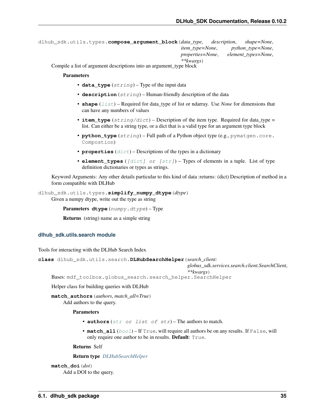```
dlhub_sdk.utils.types.compose_argument_block(data_type, description, shape=None,
                                                   item_type=None, python_type=None,
                                                   properties=None, element_types=None,
                                                   **kwargs)
```
Compile a list of argument descriptions into an argument type block

#### **Parameters**

- **data\_type** (string) Type of the input data
- **description** (string) Human-friendly description of the data
- **shape** (*[list](https://docs.python.org/3/library/stdtypes.html#list)*) Required for data\_type of list or ndarray. Use *None* for dimensions that can have any numbers of values
- **item\_type**  $(s \text{triangle} \text{div})$  Description of the item type. Required for data\_type = list. Can either be a string type, or a dict that is a valid type for an argument type block
- **python\_type** (string) Full path of a Python object type (e.g., pymatgen.core. Compostion)
- **properties** ([dict](https://docs.python.org/3/library/stdtypes.html#dict)) Descriptions of the types in a dictionary
- **element\_types** ( $\lceil \text{dict} \rceil$  or  $\lceil \text{str} \rceil$ ) Types of elements in a tuple. List of type definition dictionaries or types as strings.

Keyword Arguments: Any other details particular to this kind of data :returns: (dict) Description of method in a form compatible with DLHub

dlhub\_sdk.utils.types.**simplify\_numpy\_dtype**(*dtype*) Given a numpy dtype, write out the type as string

Parameters dtype (numpy.dtype) - Type

Returns (string) name as a simple string

#### <span id="page-38-1"></span>**dlhub\_sdk.utils.search module**

Tools for interacting with the DLHub Search Index

<span id="page-38-0"></span>**class** dlhub\_sdk.utils.search.**DLHubSearchHelper**(*search\_client:*

*globus\_sdk.services.search.client.SearchClient*,

*\*\*kwargs*)

Bases: mdf\_toolbox.globus\_search.search\_helper.SearchHelper

Helper class for building queries with DLHub

**match\_authors**(*authors*, *match\_all=True*)

Add authors to the query.

#### Parameters

- **authors** ([str](https://docs.python.org/3/library/stdtypes.html#str) or list of str) The authors to match.
- **match\_all** ([bool](https://docs.python.org/3/library/functions.html#bool)) If True, will require all authors be on any results. If False, will only require one author to be in results. Default: True.

Returns Self

Return type *[DLHubSearchHelper](#page-38-0)*

```
match_doi(doi)
    Add a DOI to the query.
```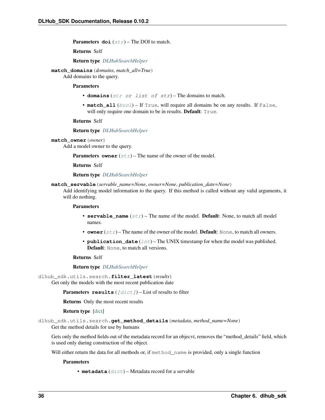<span id="page-39-0"></span>**Parameters**  $\text{doi}(str)$  $\text{doi}(str)$  $\text{doi}(str)$  **– The DOI to match.** 

Returns Self

Return type *[DLHubSearchHelper](#page-38-0)*

**match\_domains**(*domains*, *match\_all=True*)

Add domains to the query.

#### Parameters

- **domains** ([str](https://docs.python.org/3/library/stdtypes.html#str) or list of str) The domains to match.
- **match\_all** ([bool](https://docs.python.org/3/library/functions.html#bool)) If True, will require all domains be on any results. If False, will only require one domain to be in results. **Default**: True.

Returns Self

Return type *[DLHubSearchHelper](#page-38-0)*

**match\_owner**(*owner*)

Add a model owner to the query.

**Parameters owner**  $(str)$  $(str)$  $(str)$  – The name of the owner of the model.

Returns Self

Return type *[DLHubSearchHelper](#page-38-0)*

**match\_servable**(*servable\_name=None*, *owner=None*, *publication\_date=None*)

Add identifying model information to the query. If this method is called without any valid arguments, it will do nothing.

#### Parameters

- **servable\_name** ([str](https://docs.python.org/3/library/stdtypes.html#str)) The name of the model. **Default**: None, to match all model names.
- **owner**  $(str)$  $(str)$  $(str)$  The name of the owner of the model. **Default**: None, to match all owners.
- **publication\_date** ([int](https://docs.python.org/3/library/functions.html#int)) The UNIX timestamp for when the model was published. Default: None, to match all versions.

Returns Self

Return type *[DLHubSearchHelper](#page-38-0)*

dlhub\_sdk.utils.search.**filter\_latest**(*results*)

Get only the models with the most recent publication date

**Parameters results**  $(\text{dist})$  – List of results to filter

Returns Only the most recent results

Return type [\[dict\]](https://docs.python.org/3/library/stdtypes.html#dict)

dlhub\_sdk.utils.search.**get\_method\_details**(*metadata*, *method\_name=None*) Get the method details for use by humans

Gets only the method fields out of the metadata record for an objecvt, removes the "method\_details" field, which is used only during construction of the object.

Will either return the data for all methods or, if method\_name is provided, only a single function

**Parameters** 

• **metadata** ([dict](https://docs.python.org/3/library/stdtypes.html#dict)) – Metadata record for a servable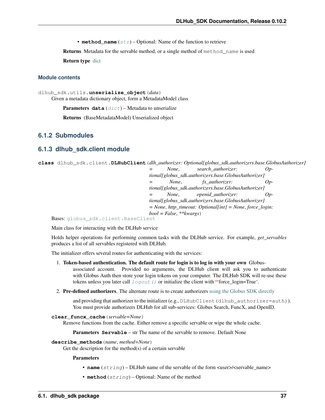• **method** name  $(str)$  $(str)$  $(str)$  – Optional: Name of the function to retrieve

<span id="page-40-2"></span>Returns Metadata for the servable method, or a single method of method\_name is used

Return type [dict](https://docs.python.org/3/library/stdtypes.html#dict)

#### <span id="page-40-1"></span>**Module contents**

```
dlhub_sdk.utils.unserialize_object(data)
     Given a metadata dictionary object, form a MetadataModel class
```
**Parameters data**  $(dict)$  $(dict)$  $(dict)$  – Metadata to unserialize

Returns (BaseMetadataModel) Unserialized object

### **6.1.2 Submodules**

### <span id="page-40-0"></span>**6.1.3 dlhub\_sdk.client module**

```
class dlhub_sdk.client.DLHubClient(dlh_authorizer: Optional[globus_sdk.authorizers.base.GlobusAuthorizer]
                                      = None, search_authorizer: Op-
```
*tional[globus\_sdk.authorizers.base.GlobusAuthorizer] None*, *fx\_authorizer: Optional[globus\_sdk.authorizers.base.GlobusAuthorizer] None*, *openid authorizer: Optional[globus\_sdk.authorizers.base.GlobusAuthorizer] = None*, *http\_timeout: Optional[int] = None*, *force\_login: bool = False*, *\*\*kwargs*)

Bases: [globus\\_sdk.client.BaseClient](https://globus-sdk-python.readthedocs.io/en/stable/core/base_client.html#globus_sdk.BaseClient)

Main class for interacting with the DLHub service

Holds helper operations for performing common tasks with the DLHub service. For example, *get\_servables* produces a list of all servables registered with DLHub.

The initializer offers several routes for authenticating with the services:

- 1. Token-based authentication. The default route for login is to log in with your own Globusassociated account. Provided no arguments, the DLHub client will ask you to authenticate with Globus Auth then store your login tokens on your computer. The DLHub SDK will re-use these tokens unless you later call  $logout()$  or initialize the client with "force\_login=True'.
- 2. Pre-defined authorizers. The alternate route is to create authorizers [using the Globus SDK directly](https://globus-sdk-python.readthedocs.io/en/stable/tutorial/)

and providing that authorizer to the initializer (e.g., DLHubClient (dlhub authorizer=auth)). You must provide authorizers DLHub for all sub-services: Globus Search, FuncX, and OpenID.

```
clear_funcx_cache(servable=None)
```
Remove functions from the cache. Either remove a specific servable or wipe the whole cache.

Parameters **Servable** – str The name of the servable to remove. Default None

#### **describe\_methods**(*name*, *method=None*)

Get the description for the method(s) of a certain servable

- **name**  $(string)$  DLHub name of the servable of the form <user>/<servable\_name>
- **method**  $(string)$  Optional: Name of the method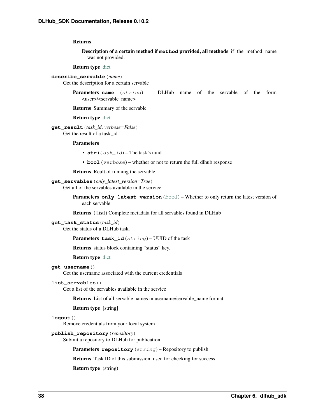#### <span id="page-41-1"></span>Returns

Description of a certain method if **method** provided, all methods if the method name was not provided.

#### Return type [dict](https://docs.python.org/3/library/stdtypes.html#dict)

#### **describe\_servable**(*name*)

Get the description for a certain servable

Parameters **name** (string) – DLHub name of the servable of the form <user>/<servable\_name>

Returns Summary of the servable

#### Return type [dict](https://docs.python.org/3/library/stdtypes.html#dict)

**get\_result**(*task\_id*, *verbose=False*) Get the result of a task\_id

#### Parameters

- $str(task_id)$  The task's uuid
- **bool** (verbose) whether or not to return the full dlhub response

Returns Reult of running the servable

#### **get\_servables**(*only\_latest\_version=True*)

Get all of the servables available in the service

**Parameters only\_latest\_version** ([bool](https://docs.python.org/3/library/functions.html#bool)) – Whether to only return the latest version of each servable

Returns ([list]) Complete metadata for all servables found in DLHub

#### **get\_task\_status**(*task\_id*)

Get the status of a DLHub task.

Parameters **task\_id** (string) – UUID of the task

Returns status block containing "status" key.

Return type [dict](https://docs.python.org/3/library/stdtypes.html#dict)

#### **get\_username**()

Get the username associated with the current credentials

#### **list\_servables**()

Get a list of the servables available in the service

Returns List of all servable names in username/servable\_name format

Return type [string]

### <span id="page-41-0"></span>**logout**()

Remove credentials from your local system

#### **publish\_repository**(*repository*)

Submit a repository to DLHub for publication

Parameters repository (string) - Repository to publish

Returns Task ID of this submission, used for checking for success

Return type (string)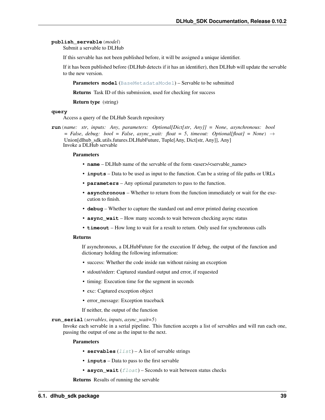#### <span id="page-42-0"></span>**publish\_servable**(*model*)

Submit a servable to DLHub

If this servable has not been published before, it will be assigned a unique identifier.

If it has been published before (DLHub detects if it has an identifier), then DLHub will update the servable to the new version.

Parameters **model** ([BaseMetadataModel](#page-33-0)) – Servable to be submitted

Returns Task ID of this submission, used for checking for success

Return type (string)

#### **query**

Access a query of the DLHub Search repository

**run**(*name: str*, *inputs: Any*, *parameters: Optional[Dict[str*, *Any]] = None*, *asynchronous: bool*  $=$  *False*, *debug: bool* = *False*, *async\_wait: float* = 5, *timeout: Optional[float]* = *None*)  $\rightarrow$ Union[dlhub\_sdk.utils.futures.DLHubFuture, Tuple[Any, Dict[str, Any]], Any] Invoke a DLHub servable

#### Parameters

- **name** DLHub name of the servable of the form  $\langle$ user> $/$  $\langle$ servable name>
- **inputs** Data to be used as input to the function. Can be a string of file paths or URLs
- **parameters** Any optional parameters to pass to the function.
- **asynchronous** Whether to return from the function immediately or wait for the execution to finish.
- **debug** Whether to capture the standard out and error printed during execution
- **async\_wait** How many seconds to wait between checking async status
- **timeout** How long to wait for a result to return. Only used for synchronous calls

#### Returns

If asynchronous, a DLHubFuture for the execution If debug, the output of the function and dictionary holding the following information:

- success: Whether the code inside ran without raising an exception
- stdout/stderr: Captured standard output and error, if requested
- timing: Execution time for the segment in seconds
- exc: Captured exception object
- error\_message: Exception traceback

If neither, the output of the function

#### **run\_serial**(*servables*, *inputs*, *async\_wait=5*)

Invoke each servable in a serial pipeline. This function accepts a list of servables and will run each one, passing the output of one as the input to the next.

#### Parameters

- **servables**  $(llist) A$  $(llist) A$  $(llist) A$  list of servable strings
- **inputs** Data to pass to the first servable
- **asycn\_wait** (*[float](https://docs.python.org/3/library/functions.html#float)*) Seconds to wait between status checks

Returns Results of running the servable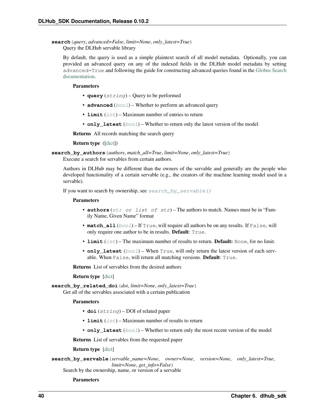```
search(query, advanced=False, limit=None, only_latest=True)
    Query the DLHub servable library
```
By default, the query is used as a simple plaintext search of all model metadata. Optionally, you can provided an advanced query on any of the indexed fields in the DLHub model metadata by setting advanced=True and following the guide for constructing advanced queries found in the [Globus Search](https://docs.globus.org/api/search/search/#query_syntax) [documentation.](https://docs.globus.org/api/search/search/#query_syntax)

#### Parameters

- **query** (string) Query to be performed
- **advanced** ([bool](https://docs.python.org/3/library/functions.html#bool)) Whether to perform an advanced query
- **limit** ([int](https://docs.python.org/3/library/functions.html#int)) Maximum number of entries to return
- **only\_latest** ([bool](https://docs.python.org/3/library/functions.html#bool)) Whether to return only the latest version of the model

Returns All records matching the search query

Return type ([\[dict\]](https://docs.python.org/3/library/stdtypes.html#dict))

**search\_by\_authors**(*authors*, *match\_all=True*, *limit=None*, *only\_latest=True*)

Execute a search for servables from certain authors.

Authors in DLHub may be different than the owners of the servable and generally are the people who developed functionality of a certain servable (e.g., the creators of the machine learning model used in a servable).

If you want to search by ownership, see  $search\ by\ servable()$ 

#### **Parameters**

- **authors** ([str](https://docs.python.org/3/library/stdtypes.html#str) or list of str) The authors to match. Names must be in "Family Name, Given Name" format
- **match\_all** ([bool](https://docs.python.org/3/library/functions.html#bool)) If True, will require all authors be on any results. If False, will only require one author to be in results. Default: True.
- **limit** ([int](https://docs.python.org/3/library/functions.html#int)) The maximum number of results to return. **Default:** None, for no limit.
- **only\_latest** ([bool](https://docs.python.org/3/library/functions.html#bool)) When True, will only return the latest version of each servable. When False, will return all matching versions. Default: True.

Returns List of servables from the desired authors

#### Return type [\[dict\]](https://docs.python.org/3/library/stdtypes.html#dict)

**search\_by\_related\_doi**(*doi*, *limit=None*, *only\_latest=True*)

Get all of the servables associated with a certain publication

#### **Parameters**

- **doi** (string) DOI of related paper
- **limit**  $(int)$  $(int)$  $(int)$  Maximum number of results to return
- **only\_latest** ([bool](https://docs.python.org/3/library/functions.html#bool)) Whether to return only the most recent version of the model

Returns List of servables from the requested paper

#### Return type [\[dict\]](https://docs.python.org/3/library/stdtypes.html#dict)

<span id="page-43-0"></span>**search\_by\_servable**(*servable\_name=None*, *owner=None*, *version=None*, *only\_latest=True*, *limit=None*, *get\_info=False*)

Search by the ownership, name, or version of a servable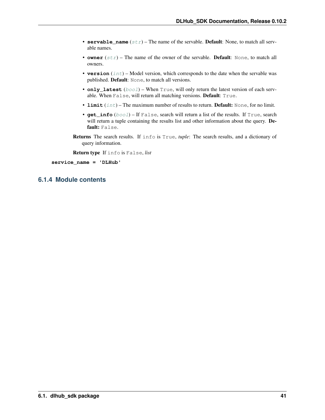- <span id="page-44-1"></span>• **servable** name  $(str)$  $(str)$  $(str)$  – The name of the servable. Default: None, to match all servable names.
- **owner**  $(str)$  $(str)$  $(str)$  The name of the owner of the servable. **Default:** None, to match all owners.
- **version** ([int](https://docs.python.org/3/library/functions.html#int)) Model version, which corresponds to the date when the servable was published. Default: None, to match all versions.
- **only\_latest** ([bool](https://docs.python.org/3/library/functions.html#bool)) When True, will only return the latest version of each servable. When False, will return all matching versions. Default: True.
- **limit** ([int](https://docs.python.org/3/library/functions.html#int)) The maximum number of results to return. **Default:** None, for no limit.
- **get\_info** ([bool](https://docs.python.org/3/library/functions.html#bool)) If False, search will return a list of the results. If True, search will return a tuple containing the results list and other information about the query. **De**fault: False.
- Returns The search results. If info is True, *tuple*: The search results, and a dictionary of query information.

Return type If info is False, *list*

**service\_name = 'DLHub'**

### <span id="page-44-0"></span>**6.1.4 Module contents**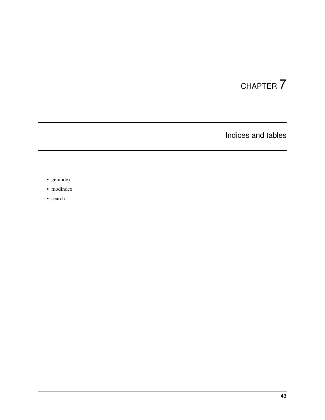# CHAPTER 7

Indices and tables

- <span id="page-46-0"></span>• genindex
- modindex
- search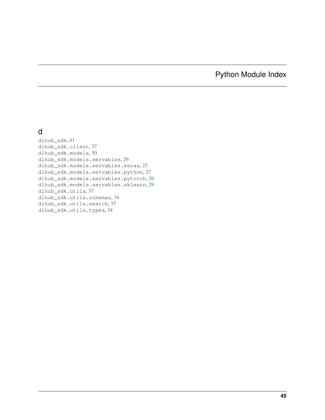# Python Module Index

### <span id="page-48-0"></span>d

dlhub\_sdk, [41](#page-44-0) dlhub\_sdk.client, [37](#page-40-0) dlhub\_sdk.models, [30](#page-33-1) dlhub\_sdk.models.servables, [29](#page-32-1) dlhub\_sdk.models.servables.keras, [25](#page-28-2) dlhub\_sdk.models.servables.python, [27](#page-30-1) dlhub\_sdk.models.servables.pytorch, [26](#page-29-0) dlhub\_sdk.models.servables.sklearn, [29](#page-32-2) dlhub\_sdk.utils, [37](#page-40-1) dlhub\_sdk.utils.schemas, [34](#page-37-0) dlhub\_sdk.utils.search, [35](#page-38-1) dlhub\_sdk.utils.types, [34](#page-37-1)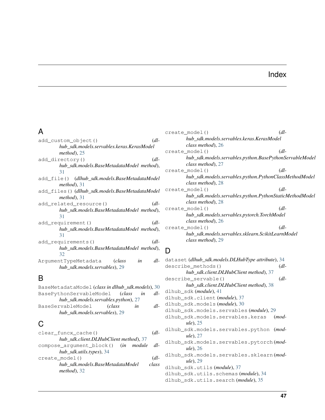### Index

## <span id="page-50-0"></span>A

| $\left(\mathrm{d}l\right)$<br>add custom object()    |
|------------------------------------------------------|
| hub sdk.models.servables.keras.KerasModel            |
| $method$ ), $25$                                     |
| $\left(\mathrm{d}l\right)$<br>add_directory()        |
| hub sdk.models.BaseMetadataModel method),            |
| 31                                                   |
| add_file() (dlhub_sdk.models.BaseMetadataModel       |
| $method$ , 31                                        |
| add_files()(dlhub_sdk.models.BaseMetadataModel       |
| $method$ , 31                                        |
| $\left(\mathrm{d}l\right)$<br>add related resource() |
| hub_sdk.models.BaseMetadataModel method),            |
| 31                                                   |
| $\left(\mathrm{d}l\right)$<br>add requirement ()     |
| hub sdk.models.BaseMetadataModel method),            |
| 31                                                   |
| add requirements()<br>$\left(\mathrm{d}l\right)$     |
| hub_sdk.models.BaseMetadataModel method),            |
| 32                                                   |
| $dl-$<br>ArqumentTypeMetadata (class<br>in           |
| hub sdk.models.servables), 29                        |
|                                                      |

# B

| BaseMetadataModel (class in dlhub_sdk.models), 30 |              |    |  |     |
|---------------------------------------------------|--------------|----|--|-----|
| BasePythonServableModel (class<br>dl-<br>in       |              |    |  |     |
| hub_sdk.models.servables.python), 27              |              |    |  |     |
| BaseServableModel                                 | <i>class</i> | in |  | dl- |
| hub sdk.models.servables), 29                     |              |    |  |     |

# C

| clear funcx cache()                     | (dl-                  |
|-----------------------------------------|-----------------------|
| hub sdk.client.DLHubClient method), 37  |                       |
| compose argument block() (in module dl- |                       |
| hub sdk.utils.types), 34                |                       |
| create model()                          | $\left( dl - \right)$ |
| hub sdk.models.BaseMetadataModel        | class                 |
| $method$ , 32                           |                       |
|                                         |                       |

| create_model() |                                                         | $\left( dl - \right)$      |
|----------------|---------------------------------------------------------|----------------------------|
|                | hub sdk.models.servables.keras.KerasModel               |                            |
|                | class method), 26                                       |                            |
| create model() |                                                         | $\left( dl - \right)$      |
|                | hub sdk.models.servables.python.BasePythonServableModel |                            |
|                | class method), 27                                       |                            |
| create_model() |                                                         | $\left(\frac{d}{d}\right)$ |
|                | hub_sdk.models.servables.python.PythonClassMethodModel  |                            |
|                | class method), 28                                       |                            |
| create model() |                                                         | $\left( dl - \right)$      |
|                | hub_sdk.models.servables.python.PythonStaticMethodModel |                            |
|                | class method), 28                                       |                            |
| create model() |                                                         | $dl-$                      |
|                | hub sdk.models.servables.pytorch.TorchModel             |                            |
|                | class method), 26                                       |                            |
| create model() |                                                         | $\left(\frac{d}{d}\right)$ |
|                | hub_sdk.models.servables.sklearn.ScikitLearnModel       |                            |
|                | class method), 29                                       |                            |
|                |                                                         |                            |

# D

```
dataset (dlhub_sdk.models.DLHubType attribute), 34
describe_methods() (dl-
       hub_sdk.client.DLHubClient method), 37
describe_servable() (dl-
       hub_sdk.client.DLHubClient method), 38
dlhub_sdk (module), 41
dlhub_sdk.client (module), 37
dlhub_sdk.models (module), 30
dlhub_sdk.models.servables (module), 29
dlhub_sdk.models.servables.keras (mod-
       ule), 25
dlhub_sdk.models.servables.python (mod-
       ule), 27
dlhub_sdk.models.servables.pytorch (mod-
       ule), 26
dlhub_sdk.models.servables.sklearn (mod-
       ule), 29
dlhub_sdk.utils (module), 37
dlhub_sdk.utils.schemas (module), 34
dlhub_sdk.utils.search (module), 35
```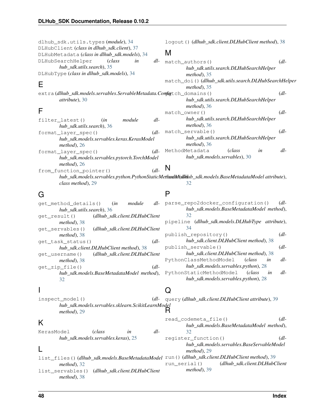dlhub\_sdk.utils.types (*module*), [34](#page-37-2) DLHubClient (*class in dlhub\_sdk.client*), [37](#page-40-2) DLHubMetadata (*class in dlhub\_sdk.models*), [34](#page-37-2) DLHubSearchHelper (*class in dlhub\_sdk.utils.search*), [35](#page-38-2) DLHubType (*class in dlhub\_sdk.models*), [34](#page-37-2)

# E

extra (dlhub\_sdk.models.servables.ServableMetadata.C *attribute*), [30](#page-33-2)

# F

| filter latest()                             | (in | module | dl-                        |
|---------------------------------------------|-----|--------|----------------------------|
| hub sdk.utils.search), 36                   |     |        |                            |
| format layer spec()                         |     |        | $\left(\frac{d}{d}\right)$ |
| hub_sdk.models.servables.keras.KerasModel   |     |        |                            |
| $method$ , 26                               |     |        |                            |
| format layer spec()                         |     |        | $\left( dl - \right)$      |
| hub_sdk.models.servables.pytorch.TorchModel |     |        |                            |
| $method$ , 26                               |     |        |                            |
| from_function_pointer()                     |     |        |                            |

### logout() (*dlhub\_sdk.client.DLHubClient method*), [38](#page-41-1)

### M

| match authors()                                      | $\left( dl - \right)$ |
|------------------------------------------------------|-----------------------|
| hub_sdk.utils.search.DLHubSearchHelper               |                       |
| $method$ , 35                                        |                       |
| match_doi()(dlhub_sdk.utils.search.DLHubSearchHelper |                       |
| $method$ , 35                                        |                       |
| onfigtch_domains()                                   | $\left( dl - \right)$ |
| hub_sdk.utils.search.DLHubSearchHelper               |                       |
| $method$ ), 36                                       |                       |
| match owner()                                        | $dl-$                 |
| hub_sdk.utils.search.DLHubSearchHelper               |                       |
| $method$ , 36                                        |                       |
| match servable()                                     | $dl-$                 |
| hub sdk.utils.search.DLHubSearchHelper               |                       |
| $method$ , 36                                        |                       |
| (class<br>in<br>MethodMetadata                       | dl-                   |
| hub sdk.models.servables), 30                        |                       |
|                                                      |                       |

### N

*hub\_sdk.models.servables.python.PythonStaticMethodModel* name (*dlhub\_sdk.models.BaseMetadataModel attribute*), *class method*), [29](#page-32-3) [32](#page-35-0)

# G

get\_method\_details() (*in module dlhub\_sdk.utils.search*), [36](#page-39-0) get\_result() (*dlhub\_sdk.client.DLHubClient method*), [38](#page-41-1) get\_servables() (*dlhub\_sdk.client.DLHubClient method*), [38](#page-41-1) get\_task\_status() (*dlhub\_sdk.client.DLHubClient method*), [38](#page-41-1) get\_username() (*dlhub\_sdk.client.DLHubClient method*), [38](#page-41-1) get\_zip\_file() (*dlhub\_sdk.models.BaseMetadataModel method*), [32](#page-35-0)

P

parse\_repo2docker\_configuration() (*dlhub\_sdk.models.BaseMetadataModel method*), [32](#page-35-0) pipeline (*dlhub\_sdk.models.DLHubType attribute*), [34](#page-37-2) publish\_repository() (*dlhub\_sdk.client.DLHubClient method*), [38](#page-41-1) publish\_servable() (*dlhub\_sdk.client.DLHubClient method*), [38](#page-41-1) PythonClassMethodModel (*class in dlhub\_sdk.models.servables.python*), [28](#page-31-0) PythonStaticMethodModel (*class in dlhub\_sdk.models.servables.python*), [28](#page-31-0)

read\_codemeta\_file() (*dl-*

register\_function() (*dl-*

*hub\_sdk.models.BaseMetadataModel method*),

*hub\_sdk.models.servables.BaseServableModel*

### I

inspect\_model() (*dlhub\_sdk.models.servables.sklearn.ScikitLearnModel method*), [29](#page-32-3) query (*dlhub\_sdk.client.DLHubClient attribute*), [39](#page-42-0) R

Q

[32](#page-35-0)

*method*), [29](#page-32-3)

# K

KerasModel (*class in dlhub\_sdk.models.servables.keras*), [25](#page-28-3)

### L

list\_files() (*dlhub\_sdk.models.BaseMetadataModel* run() (*dlhub\_sdk.client.DLHubClient method*), [39](#page-42-0) *method*), [32](#page-35-0) list\_servables() (*dlhub\_sdk.client.DLHubClient method*), [38](#page-41-1) run\_serial() (*dlhub\_sdk.client.DLHubClient method*), [39](#page-42-0)